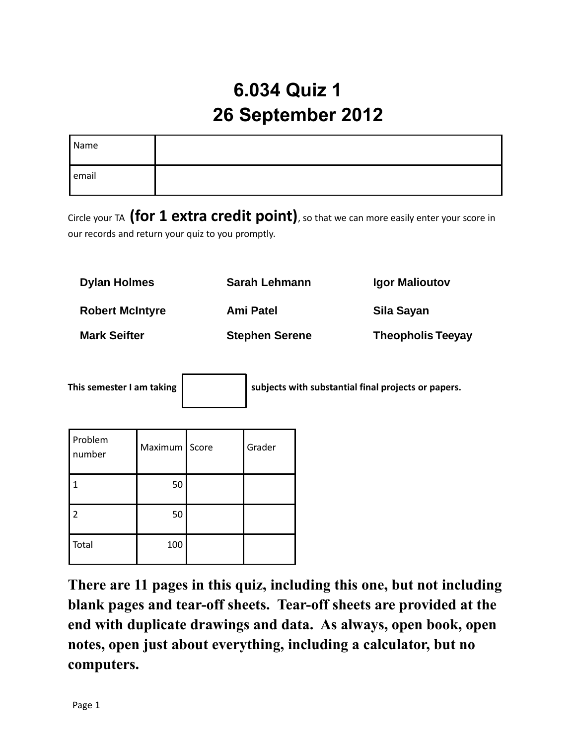# **6.034 Quiz 1 26 September 2012**

| Name  |  |
|-------|--|
| email |  |

Circle your TA **(for 1 extra credit point)**, so that we can more easily enter your score in our records and return your quiz to you promptly.

| <b>Dylan Holmes</b>    | Sarah Lehmann         | <b>Igor Malioutov</b>    |
|------------------------|-----------------------|--------------------------|
| <b>Robert McIntyre</b> | <b>Ami Patel</b>      | Sila Sayan               |
| <b>Mark Seifter</b>    | <b>Stephen Serene</b> | <b>Theopholis Teeyay</b> |

This semester I am taking **subjects with substantial final projects or papers.** 

| Problem<br>number | Maximum Score | Grader |
|-------------------|---------------|--------|
|                   | 50            |        |
| $\mathcal{P}$     | 50            |        |
| Total             | 100           |        |

**There are 11 pages in this quiz, including this one, but not including blank pages and tear-off sheets. Tear-off sheets are provided at the end with duplicate drawings and data. As always, open book, open notes, open just about everything, including a calculator, but no computers.**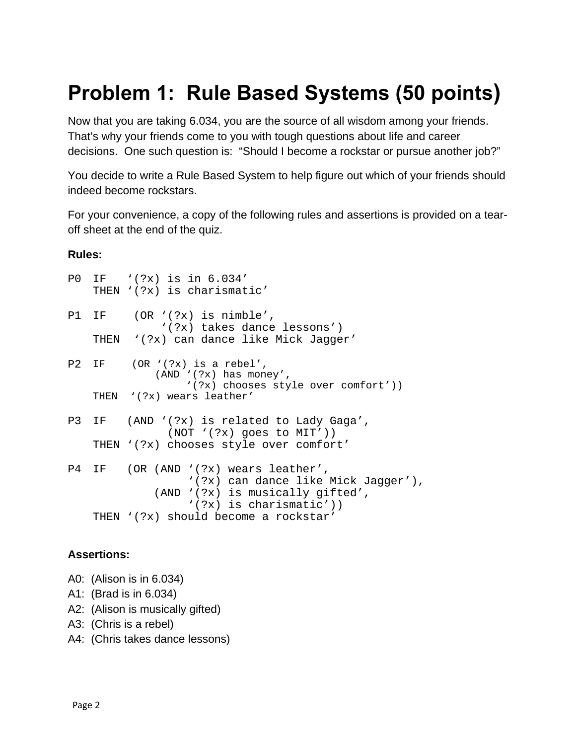# **Problem 1: Rule Based Systems (50 points)**

Now that you are taking 6.034, you are the source of all wisdom among your friends. That's why your friends come to you with tough questions about life and career decisions. One such question is: "Should I become a rockstar or pursue another job?"

You decide to write a Rule Based System to help figure out which of your friends should indeed become rockstars.

For your convenience, a copy of the following rules and assertions is provided on a tearoff sheet at the end of the quiz.

#### **Rules:**

```
P0 IF '(?x) is in 6.034'
   THEN '(?x) is charismatic'
P1 IF (OR '(?x) is nimble',
               '(?x) takes dance lessons')
   THEN '(?x) can dance like Mick Jaqqer'
P2 IF (OR '(?x) is a rebel',
             (AND '(?x) has money', '(?x) chooses style over comfort'))
   THEN '(?x) wears leather'
P3 IF (AND '(?x) is related to Lady Gaga',
                (NOT '(?x) goes to MIT')) 
   THEN '(?x) chooses style over comfort'
P4 IF (OR (AND '(?x) wears leather', 
                   '(?x) can dance like Mick Jagger'),
              (AND '(?x) is musically gifted', 
                  '(?x) is charismatic'))
   THEN '(?x) should become a rockstar'
```
#### **Assertions:**

- A0: (Alison is in 6.034)
- A1: (Brad is in 6.034)
- A2: (Alison is musically gifted)
- A3: (Chris is a rebel)
- A4: (Chris takes dance lessons)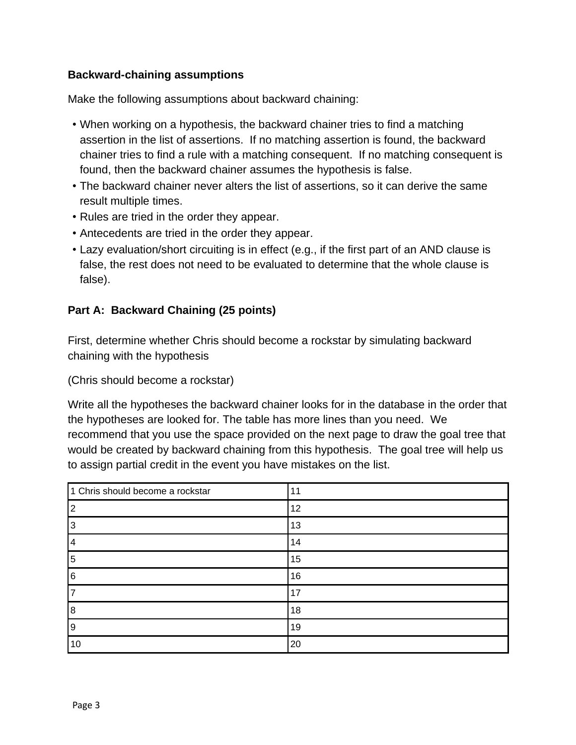#### **Backward-chaining assumptions**

Make the following assumptions about backward chaining:

- When working on a hypothesis, the backward chainer tries to find a matching assertion in the list of assertions. If no matching assertion is found, the backward chainer tries to find a rule with a matching consequent. If no matching consequent is found, then the backward chainer assumes the hypothesis is false.
- The backward chainer never alters the list of assertions, so it can derive the same result multiple times.
- Rules are tried in the order they appear.
- Antecedents are tried in the order they appear.
- Lazy evaluation/short circuiting is in effect (e.g., if the first part of an AND clause is false, the rest does not need to be evaluated to determine that the whole clause is false).

#### **Part A: Backward Chaining (25 points)**

First, determine whether Chris should become a rockstar by simulating backward chaining with the hypothesis

(Chris should become a rockstar)

Write all the hypotheses the backward chainer looks for in the database in the order that the hypotheses are looked for. The table has more lines than you need. We recommend that you use the space provided on the next page to draw the goal tree that would be created by backward chaining from this hypothesis. The goal tree will help us to assign partial credit in the event you have mistakes on the list.

| 1 Chris should become a rockstar | 11 |
|----------------------------------|----|
| $\overline{2}$                   | 12 |
| 3                                | 13 |
| 4                                | 14 |
| 5                                | 15 |
| 6                                | 16 |
|                                  | 17 |
| 8                                | 18 |
| 9                                | 19 |
| 10                               | 20 |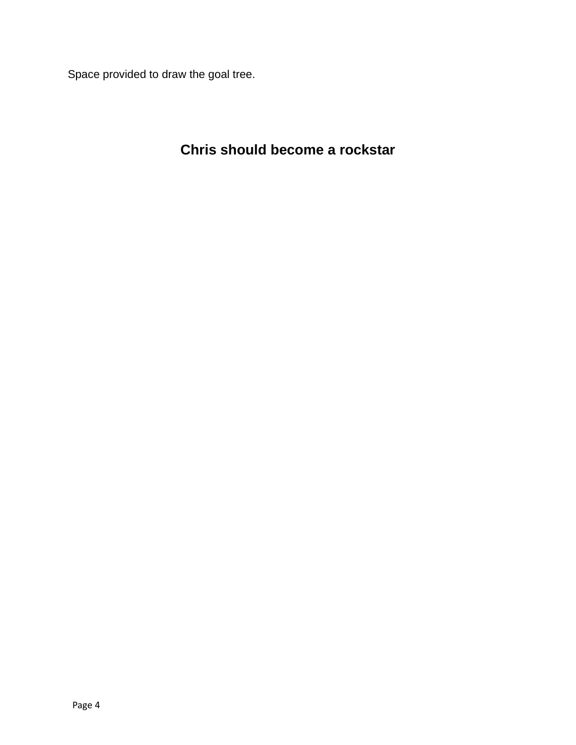Space provided to draw the goal tree.

# **Chris should become a rockstar**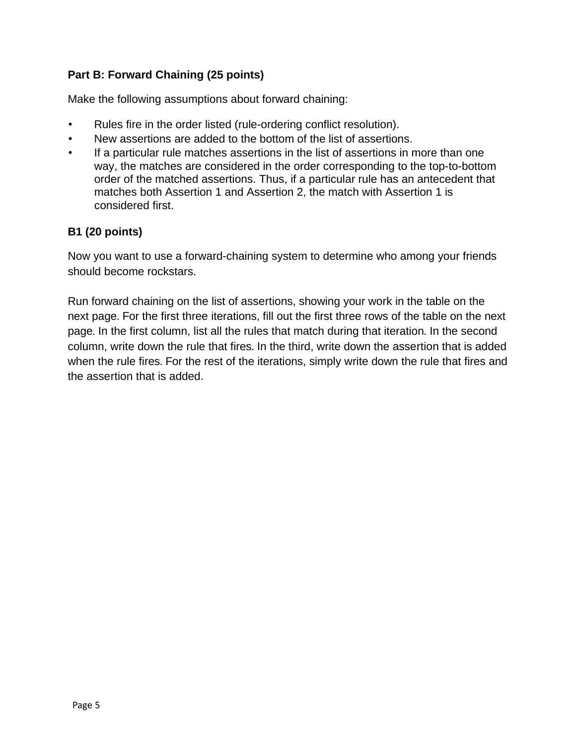#### **Part B: Forward Chaining (25 points)**

Make the following assumptions about forward chaining:

- Rules fire in the order listed (rule-ordering conflict resolution).
- New assertions are added to the bottom of the list of assertions.
- If a particular rule matches assertions in the list of assertions in more than one way, the matches are considered in the order corresponding to the top-to-bottom order of the matched assertions. Thus, if a particular rule has an antecedent that matches both Assertion 1 and Assertion 2, the match with Assertion 1 is considered first.

#### **B1 (20 points)**

Now you want to use a forward-chaining system to determine who among your friends should become rockstars.

Run forward chaining on the list of assertions, showing your work in the table on the next page. For the first three iterations, fill out the first three rows of the table on the next page. In the first column, list all the rules that match during that iteration. In the second column, write down the rule that fires. In the third, write down the assertion that is added when the rule fires. For the rest of the iterations, simply write down the rule that fires and the assertion that is added.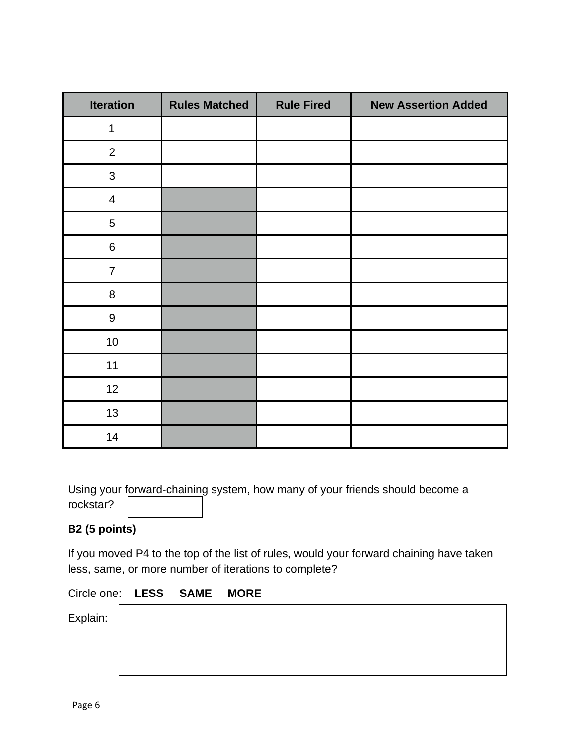| <b>Iteration</b>        | <b>Rules Matched</b> | <b>Rule Fired</b> | <b>New Assertion Added</b> |
|-------------------------|----------------------|-------------------|----------------------------|
| 1                       |                      |                   |                            |
| $\overline{2}$          |                      |                   |                            |
| $\mathbf{3}$            |                      |                   |                            |
| $\overline{\mathbf{4}}$ |                      |                   |                            |
| 5                       |                      |                   |                            |
| $\,6$                   |                      |                   |                            |
| $\overline{7}$          |                      |                   |                            |
| 8                       |                      |                   |                            |
| $\boldsymbol{9}$        |                      |                   |                            |
| $10$                    |                      |                   |                            |
| 11                      |                      |                   |                            |
| 12                      |                      |                   |                            |
| 13                      |                      |                   |                            |
| 14                      |                      |                   |                            |

Using your forward-chaining system, how many of your friends should become a rockstar?

## **B2 (5 points)**

If you moved P4 to the top of the list of rules, would your forward chaining have taken less, same, or more number of iterations to complete?

|  | Circle one: LESS SAME MORE |
|--|----------------------------|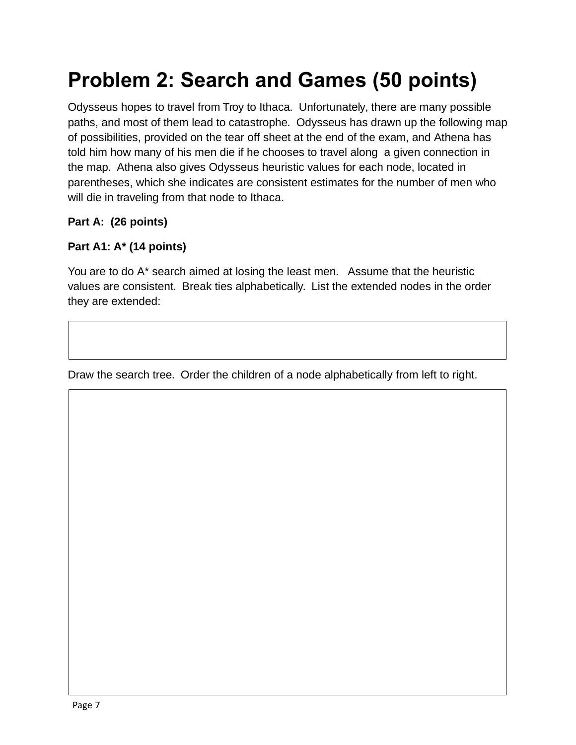# **Problem 2: Search and Games (50 points)**

Odysseus hopes to travel from Troy to Ithaca. Unfortunately, there are many possible paths, and most of them lead to catastrophe. Odysseus has drawn up the following map of possibilities, provided on the tear off sheet at the end of the exam, and Athena has told him how many of his men die if he chooses to travel along a given connection in the map. Athena also gives Odysseus heuristic values for each node, located in parentheses, which she indicates are consistent estimates for the number of men who will die in traveling from that node to Ithaca.

### **Part A: (26 points)**

### **Part A1: A\* (14 points)**

You are to do A\* search aimed at losing the least men. Assume that the heuristic values are consistent. Break ties alphabetically. List the extended nodes in the order they are extended:

Draw the search tree. Order the children of a node alphabetically from left to right.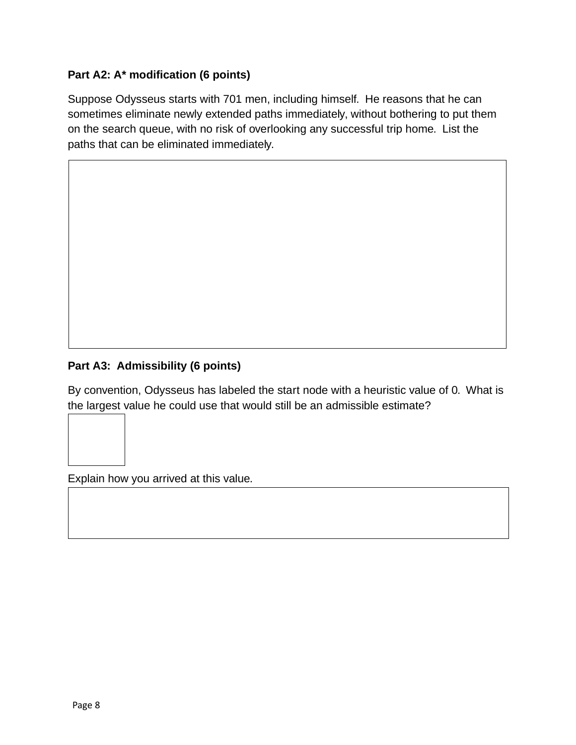#### **Part A2: A\* modification (6 points)**

Suppose Odysseus starts with 701 men, including himself. He reasons that he can sometimes eliminate newly extended paths immediately, without bothering to put them on the search queue, with no risk of overlooking any successful trip home. List the paths that can be eliminated immediately.

#### **Part A3: Admissibility (6 points)**

By convention, Odysseus has labeled the start node with a heuristic value of 0. What is the largest value he could use that would still be an admissible estimate?



Explain how you arrived at this value.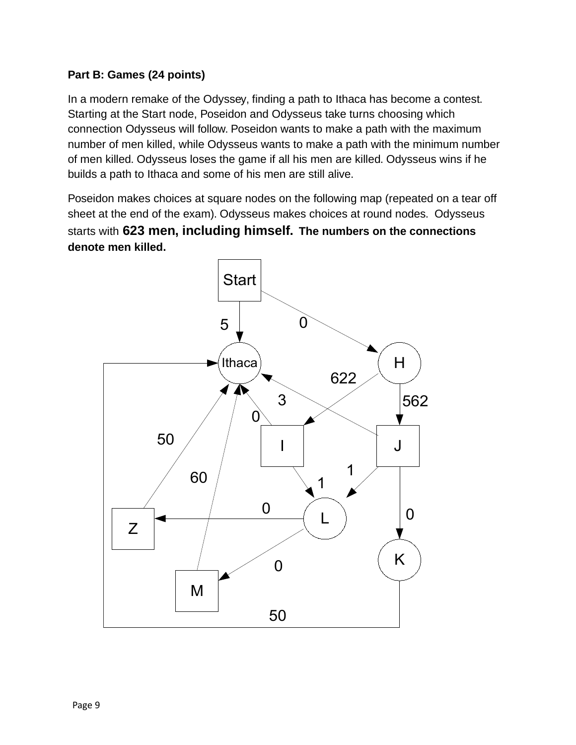#### **Part B: Games (24 points)**

In a modern remake of the Odyssey, finding a path to Ithaca has become a contest. Starting at the Start node, Poseidon and Odysseus take turns choosing which connection Odysseus will follow. Poseidon wants to make a path with the maximum number of men killed, while Odysseus wants to make a path with the minimum number of men killed. Odysseus loses the game if all his men are killed. Odysseus wins if he builds a path to Ithaca and some of his men are still alive.

Poseidon makes choices at square nodes on the following map (repeated on a tear off sheet at the end of the exam). Odysseus makes choices at round nodes. Odysseus starts with **623 men, including himself. The numbers on the connections denote men killed.**

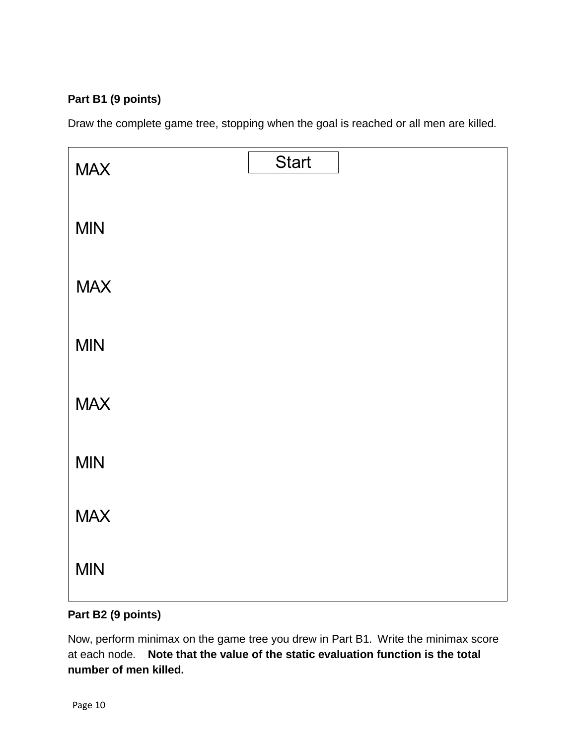#### **Part B1 (9 points)**

Draw the complete game tree, stopping when the goal is reached or all men are killed.

| <b>MAX</b> | <b>Start</b> |
|------------|--------------|
| <b>MIN</b> |              |
| <b>MAX</b> |              |
| <b>MIN</b> |              |
| <b>MAX</b> |              |
| <b>MIN</b> |              |
| <b>MAX</b> |              |
| <b>MIN</b> |              |

#### **Part B2 (9 points)**

Now, perform minimax on the game tree you drew in Part B1. Write the minimax score at each node. **Note that the value of the static evaluation function is the total number of men killed.**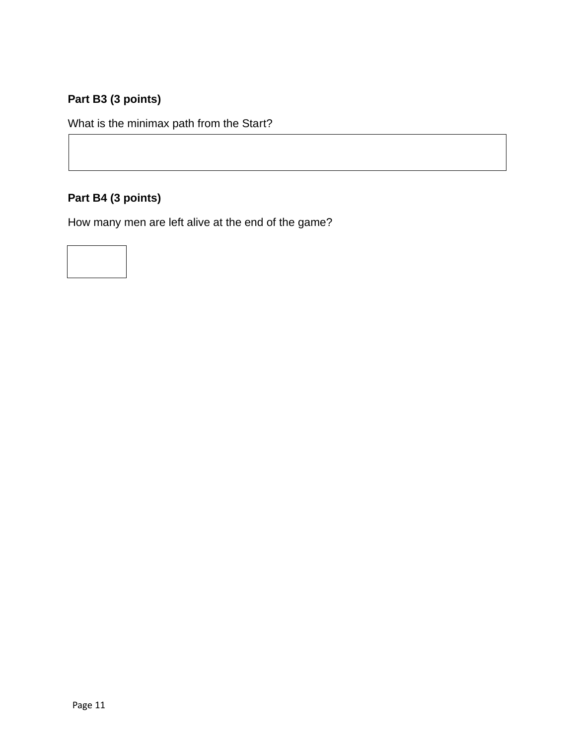## **Part B3 (3 points)**

What is the minimax path from the Start?

## **Part B4 (3 points)**

How many men are left alive at the end of the game?

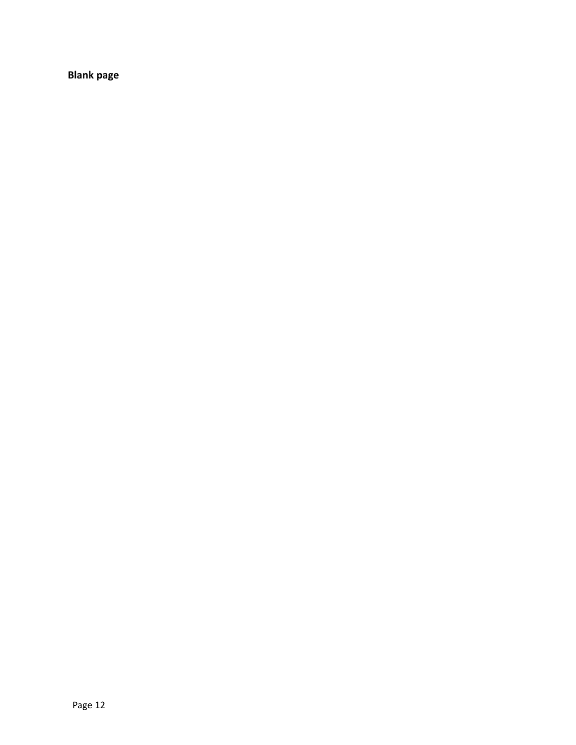**Blank page**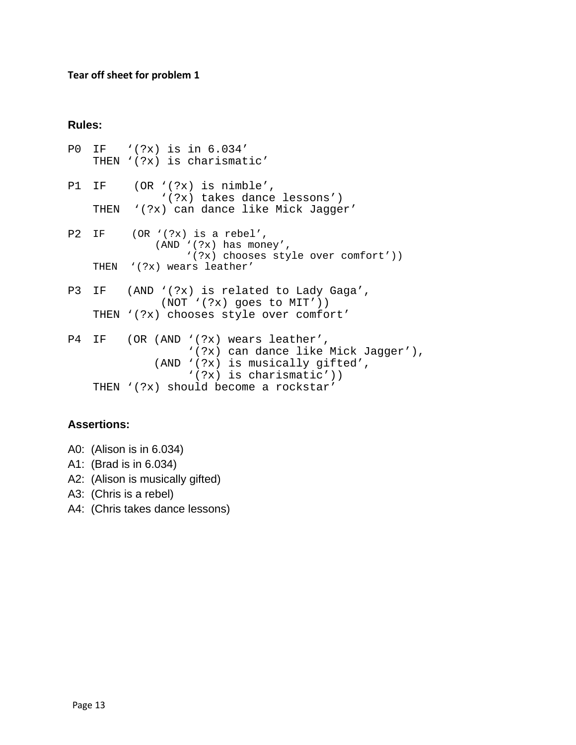#### **Tear off sheet for problem 1**

#### **Rules:**

```
P0 IF '(?x) is in 6.034'
   THEN '(?x) is charismatic'
P1 IF (OR '(?x) is nimble',
               '(?x) takes dance lessons')
   THEN '(?x) can dance like Mick Jagger'
P2 IF (OR '(?x) is a rebel',
              (AND '(?x) has money', 
                  '(?x) chooses style over comfort'))
   THEN '(?x) wears leather'
P3 IF (AND '(?x) is related to Lady Gaga',
               (NOT '(?x) goes to MIT'))
   THEN '(?x) chooses style over comfort'
P4 IF (OR (AND '(?x) wears leather',
                   '(?x) can dance like Mick Jagger'),
              (AND '(?x) is musically gifted', 
                   '(?x) is charismatic'))
   THEN '(?x) should become a rockstar'
```
#### **Assertions:**

- A0: (Alison is in 6.034)
- A1: (Brad is in 6.034)
- A2: (Alison is musically gifted)
- A3: (Chris is a rebel)
- A4: (Chris takes dance lessons)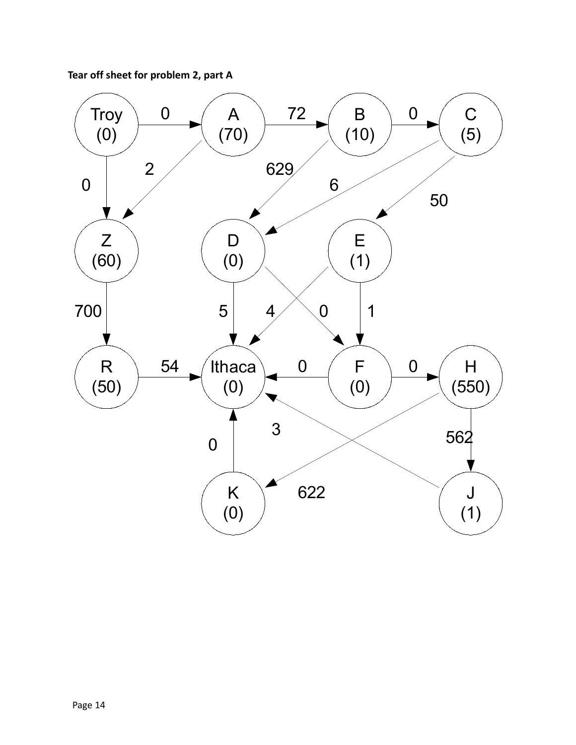**Tear off sheet for problem 2, part A**